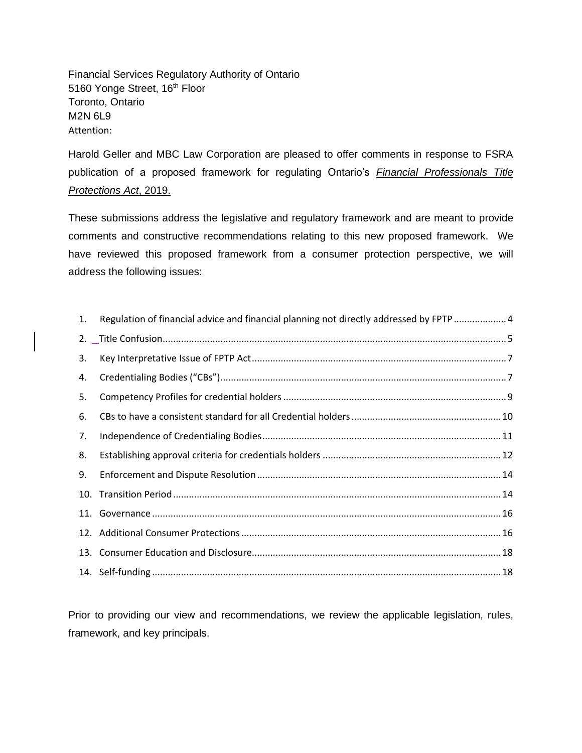Financial Services Regulatory Authority of Ontario 5160 Yonge Street, 16<sup>th</sup> Floor Toronto, Ontario M2N 6L9 Attention:

Harold Geller and MBC Law Corporation are pleased to offer comments in response to FSRA publication of a proposed framework for regulating Ontario's *[Financial Professionals Title](https://www.ontario.ca/laws/statute/19f07b)  [Protections Act](https://www.ontario.ca/laws/statute/19f07b)*, 2019.

These submissions address the legislative and regulatory framework and are meant to provide comments and constructive recommendations relating to this new proposed framework. We have reviewed this proposed framework from a consumer protection perspective, we will address the following issues:

| 1. | Regulation of financial advice and financial planning not directly addressed by FPTP  4 |  |
|----|-----------------------------------------------------------------------------------------|--|
|    |                                                                                         |  |
| 3. |                                                                                         |  |
| 4. |                                                                                         |  |
| 5. |                                                                                         |  |
| 6. |                                                                                         |  |
| 7. |                                                                                         |  |
| 8. |                                                                                         |  |
| 9. |                                                                                         |  |
|    |                                                                                         |  |
|    |                                                                                         |  |
|    |                                                                                         |  |
|    |                                                                                         |  |
|    |                                                                                         |  |

Prior to providing our view and recommendations, we review the applicable legislation, rules, framework, and key principals.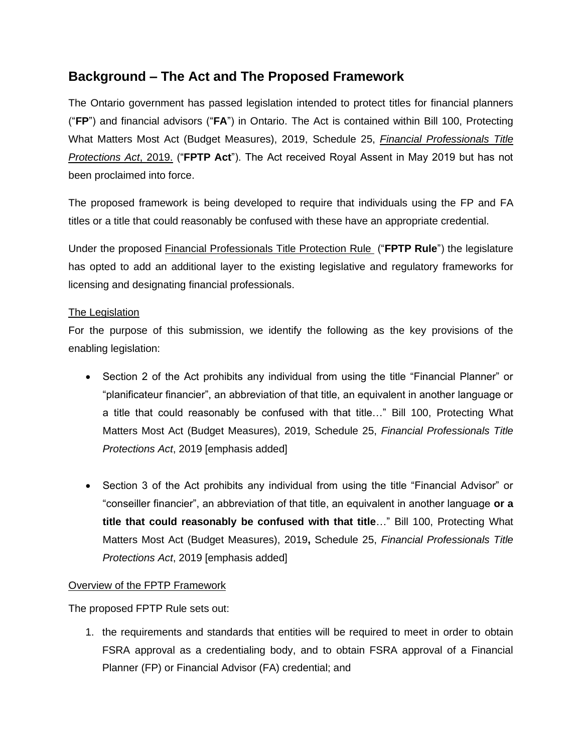# **Background – The Act and The Proposed Framework**

The Ontario government has passed legislation intended to protect titles for financial planners ("**FP**") and financial advisors ("**FA**") in Ontario. The Act is contained within Bill 100, Protecting What Matters Most Act (Budget Measures), 2019, Schedule 25, *[Financial Professionals Title](https://www.ontario.ca/laws/statute/19f07b)  [Protections Act](https://www.ontario.ca/laws/statute/19f07b)*, 2019. ("**FPTP Act**"). The Act received Royal Assent in May 2019 but has not been proclaimed into force.

The proposed framework is being developed to require that individuals using the FP and FA titles or a title that could reasonably be confused with these have an appropriate credential.

Under the proposed [Financial Professionals Title Protection Rule](https://www.fsrao.ca/media/2051/download) ("**FPTP Rule**") the legislature has opted to add an additional layer to the existing legislative and regulatory frameworks for licensing and designating financial professionals.

### The Legislation

For the purpose of this submission, we identify the following as the key provisions of the enabling legislation:

- Section 2 of the Act prohibits any individual from using the title "Financial Planner" or "planificateur financier", an abbreviation of that title, an equivalent in another language or a title that could reasonably be confused with that title…" Bill 100, Protecting What Matters Most Act (Budget Measures), 2019, Schedule 25, *Financial Professionals Title Protections Act*, 2019 [emphasis added]
- Section 3 of the Act prohibits any individual from using the title "Financial Advisor" or "conseiller financier", an abbreviation of that title, an equivalent in another language **or a title that could reasonably be confused with that title**…" Bill 100, Protecting What Matters Most Act (Budget Measures), 2019**,** Schedule 25, *Financial Professionals Title Protections Act*, 2019 [emphasis added]

#### Overview of the FPTP Framework

The proposed FPTP Rule sets out:

1. the requirements and standards that entities will be required to meet in order to obtain FSRA approval as a credentialing body, and to obtain FSRA approval of a Financial Planner (FP) or Financial Advisor (FA) credential; and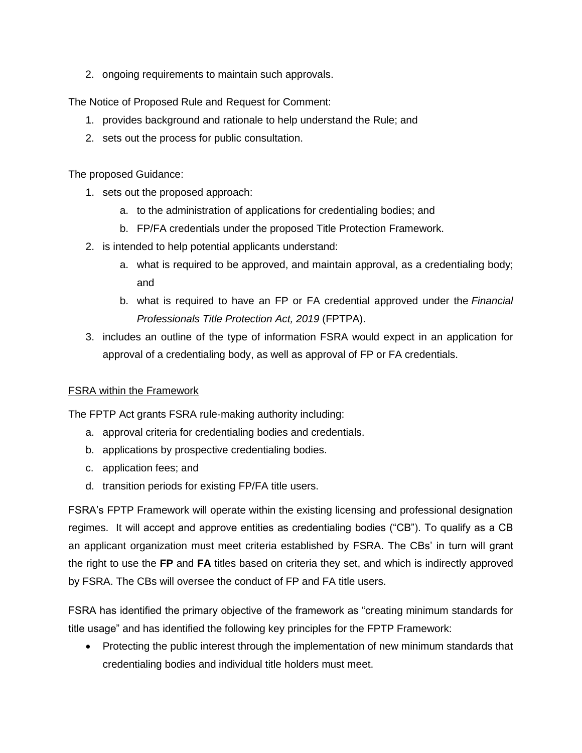2. ongoing requirements to maintain such approvals.

The Notice of Proposed Rule and Request for Comment:

- 1. provides background and rationale to help understand the Rule; and
- 2. sets out the process for public consultation.

The proposed Guidance:

- 1. sets out the proposed approach:
	- a. to the administration of applications for credentialing bodies; and
	- b. FP/FA credentials under the proposed Title Protection Framework.
- 2. is intended to help potential applicants understand:
	- a. what is required to be approved, and maintain approval, as a credentialing body; and
	- b. what is required to have an FP or FA credential approved under the *Financial Professionals Title Protection Act, 2019* (FPTPA).
- 3. includes an outline of the type of information FSRA would expect in an application for approval of a credentialing body, as well as approval of FP or FA credentials.

#### FSRA within the Framework

The FPTP Act grants FSRA rule-making authority including:

- a. approval criteria for credentialing bodies and credentials.
- b. applications by prospective credentialing bodies.
- c. application fees; and
- d. transition periods for existing FP/FA title users.

FSRA's FPTP Framework will operate within the existing licensing and professional designation regimes. It will accept and approve entities as credentialing bodies ("CB"). To qualify as a CB an applicant organization must meet criteria established by FSRA. The CBs' in turn will grant the right to use the **FP** and **FA** titles based on criteria they set, and which is indirectly approved by FSRA. The CBs will oversee the conduct of FP and FA title users.

FSRA has identified the primary objective of the framework as "creating minimum standards for title usage" and has identified the following key principles for the FPTP Framework:

• Protecting the public interest through the implementation of new minimum standards that credentialing bodies and individual title holders must meet.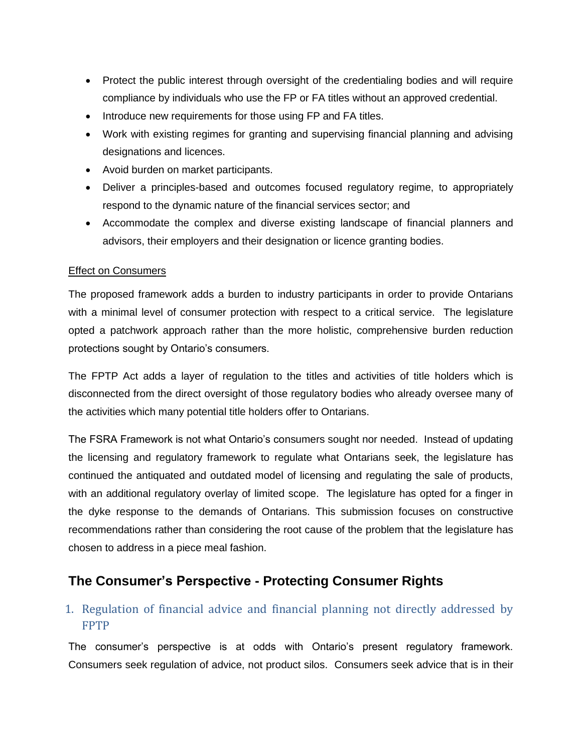- Protect the public interest through oversight of the credentialing bodies and will require compliance by individuals who use the FP or FA titles without an approved credential.
- Introduce new requirements for those using FP and FA titles.
- Work with existing regimes for granting and supervising financial planning and advising designations and licences.
- Avoid burden on market participants.
- Deliver a principles-based and outcomes focused regulatory regime, to appropriately respond to the dynamic nature of the financial services sector; and
- Accommodate the complex and diverse existing landscape of financial planners and advisors, their employers and their designation or licence granting bodies.

#### Effect on Consumers

The proposed framework adds a burden to industry participants in order to provide Ontarians with a minimal level of consumer protection with respect to a critical service. The legislature opted a patchwork approach rather than the more holistic, comprehensive burden reduction protections sought by Ontario's consumers.

The FPTP Act adds a layer of regulation to the titles and activities of title holders which is disconnected from the direct oversight of those regulatory bodies who already oversee many of the activities which many potential title holders offer to Ontarians.

The FSRA Framework is not what Ontario's consumers sought nor needed. Instead of updating the licensing and regulatory framework to regulate what Ontarians seek, the legislature has continued the antiquated and outdated model of licensing and regulating the sale of products, with an additional regulatory overlay of limited scope. The legislature has opted for a finger in the dyke response to the demands of Ontarians. This submission focuses on constructive recommendations rather than considering the root cause of the problem that the legislature has chosen to address in a piece meal fashion.

# **The Consumer's Perspective - Protecting Consumer Rights**

## <span id="page-3-0"></span>1. Regulation of financial advice and financial planning not directly addressed by FPTP

The consumer's perspective is at odds with Ontario's present regulatory framework. Consumers seek regulation of advice, not product silos. Consumers seek advice that is in their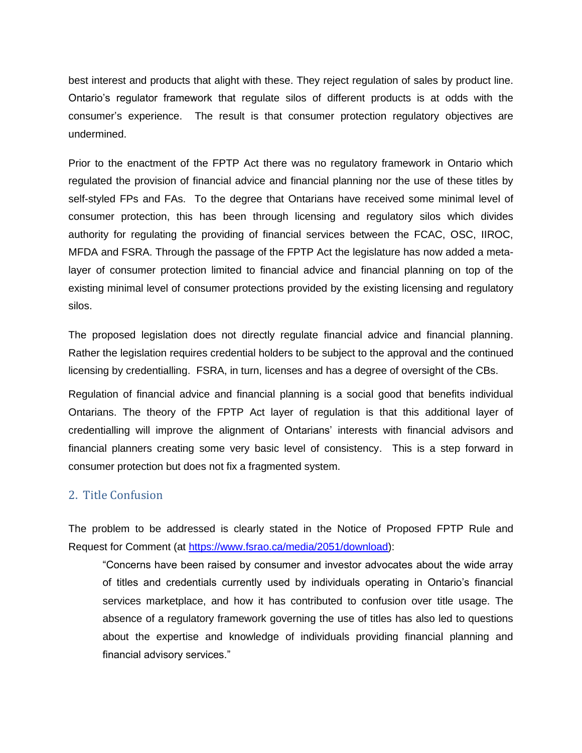best interest and products that alight with these. They reject regulation of sales by product line. Ontario's regulator framework that regulate silos of different products is at odds with the consumer's experience. The result is that consumer protection regulatory objectives are undermined.

Prior to the enactment of the FPTP Act there was no regulatory framework in Ontario which regulated the provision of financial advice and financial planning nor the use of these titles by self-styled FPs and FAs. To the degree that Ontarians have received some minimal level of consumer protection, this has been through licensing and regulatory silos which divides authority for regulating the providing of financial services between the FCAC, OSC, IIROC, MFDA and FSRA. Through the passage of the FPTP Act the legislature has now added a metalayer of consumer protection limited to financial advice and financial planning on top of the existing minimal level of consumer protections provided by the existing licensing and regulatory silos.

The proposed legislation does not directly regulate financial advice and financial planning. Rather the legislation requires credential holders to be subject to the approval and the continued licensing by credentialling. FSRA, in turn, licenses and has a degree of oversight of the CBs.

Regulation of financial advice and financial planning is a social good that benefits individual Ontarians. The theory of the FPTP Act layer of regulation is that this additional layer of credentialling will improve the alignment of Ontarians' interests with financial advisors and financial planners creating some very basic level of consistency. This is a step forward in consumer protection but does not fix a fragmented system.

### <span id="page-4-0"></span>2. Title Confusion

The problem to be addressed is clearly stated in the Notice of Proposed FPTP Rule and Request for Comment (at [https://www.fsrao.ca/media/2051/download\)](https://www.fsrao.ca/media/2051/download):

"Concerns have been raised by consumer and investor advocates about the wide array of titles and credentials currently used by individuals operating in Ontario's financial services marketplace, and how it has contributed to confusion over title usage. The absence of a regulatory framework governing the use of titles has also led to questions about the expertise and knowledge of individuals providing financial planning and financial advisory services."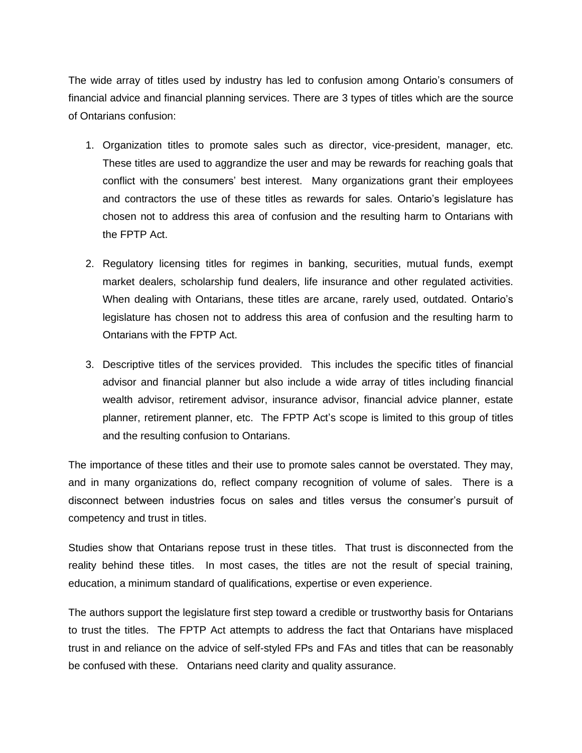The wide array of titles used by industry has led to confusion among Ontario's consumers of financial advice and financial planning services. There are 3 types of titles which are the source of Ontarians confusion:

- 1. Organization titles to promote sales such as director, vice-president, manager, etc. These titles are used to aggrandize the user and may be rewards for reaching goals that conflict with the consumers' best interest. Many organizations grant their employees and contractors the use of these titles as rewards for sales. Ontario's legislature has chosen not to address this area of confusion and the resulting harm to Ontarians with the FPTP Act.
- 2. Regulatory licensing titles for regimes in banking, securities, mutual funds, exempt market dealers, scholarship fund dealers, life insurance and other regulated activities. When dealing with Ontarians, these titles are arcane, rarely used, outdated. Ontario's legislature has chosen not to address this area of confusion and the resulting harm to Ontarians with the FPTP Act.
- 3. Descriptive titles of the services provided. This includes the specific titles of financial advisor and financial planner but also include a wide array of titles including financial wealth advisor, retirement advisor, insurance advisor, financial advice planner, estate planner, retirement planner, etc. The FPTP Act's scope is limited to this group of titles and the resulting confusion to Ontarians.

The importance of these titles and their use to promote sales cannot be overstated. They may, and in many organizations do, reflect company recognition of volume of sales. There is a disconnect between industries focus on sales and titles versus the consumer's pursuit of competency and trust in titles.

Studies show that Ontarians repose trust in these titles. That trust is disconnected from the reality behind these titles. In most cases, the titles are not the result of special training, education, a minimum standard of qualifications, expertise or even experience.

The authors support the legislature first step toward a credible or trustworthy basis for Ontarians to trust the titles. The FPTP Act attempts to address the fact that Ontarians have misplaced trust in and reliance on the advice of self-styled FPs and FAs and titles that can be reasonably be confused with these. Ontarians need clarity and quality assurance.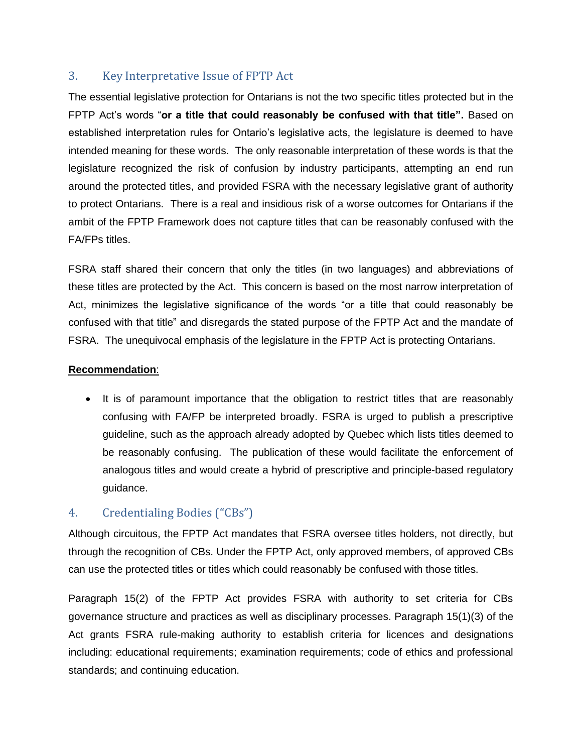## <span id="page-6-0"></span>3. Key Interpretative Issue of FPTP Act

The essential legislative protection for Ontarians is not the two specific titles protected but in the FPTP Act's words "**or a title that could reasonably be confused with that title".** Based on established interpretation rules for Ontario's legislative acts, the legislature is deemed to have intended meaning for these words. The only reasonable interpretation of these words is that the legislature recognized the risk of confusion by industry participants, attempting an end run around the protected titles, and provided FSRA with the necessary legislative grant of authority to protect Ontarians. There is a real and insidious risk of a worse outcomes for Ontarians if the ambit of the FPTP Framework does not capture titles that can be reasonably confused with the FA/FPs titles.

FSRA staff shared their concern that only the titles (in two languages) and abbreviations of these titles are protected by the Act. This concern is based on the most narrow interpretation of Act, minimizes the legislative significance of the words "or a title that could reasonably be confused with that title" and disregards the stated purpose of the FPTP Act and the mandate of FSRA. The unequivocal emphasis of the legislature in the FPTP Act is protecting Ontarians.

#### **Recommendation**:

It is of paramount importance that the obligation to restrict titles that are reasonably confusing with FA/FP be interpreted broadly. FSRA is urged to publish a prescriptive guideline, such as the approach already adopted by Quebec which lists titles deemed to be reasonably confusing. The publication of these would facilitate the enforcement of analogous titles and would create a hybrid of prescriptive and principle-based regulatory guidance.

## <span id="page-6-1"></span>4. Credentialing Bodies ("CBs")

Although circuitous, the FPTP Act mandates that FSRA oversee titles holders, not directly, but through the recognition of CBs. Under the FPTP Act, only approved members, of approved CBs can use the protected titles or titles which could reasonably be confused with those titles.

Paragraph 15(2) of the FPTP Act provides FSRA with authority to set criteria for CBs governance structure and practices as well as disciplinary processes. Paragraph 15(1)(3) of the Act grants FSRA rule-making authority to establish criteria for licences and designations including: educational requirements; examination requirements; code of ethics and professional standards; and continuing education.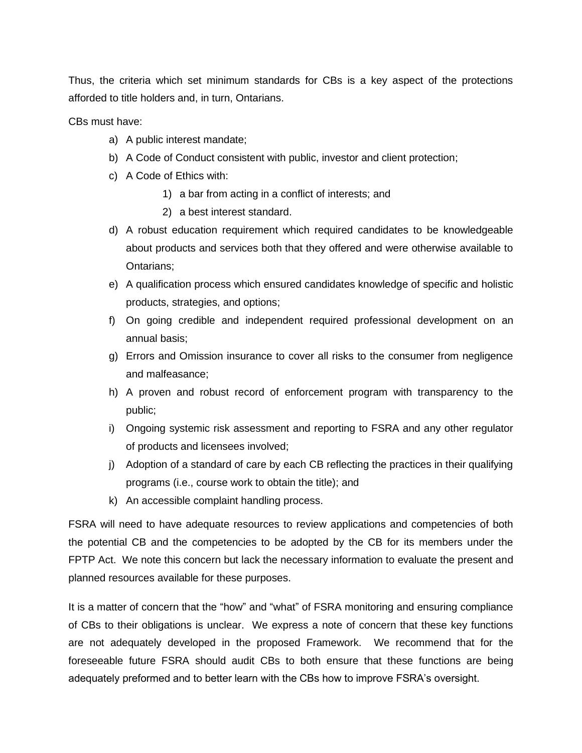Thus, the criteria which set minimum standards for CBs is a key aspect of the protections afforded to title holders and, in turn, Ontarians.

CBs must have:

- a) A public interest mandate;
- b) A Code of Conduct consistent with public, investor and client protection;
- c) A Code of Ethics with:
	- 1) a bar from acting in a conflict of interests; and
	- 2) a best interest standard.
- d) A robust education requirement which required candidates to be knowledgeable about products and services both that they offered and were otherwise available to Ontarians;
- e) A qualification process which ensured candidates knowledge of specific and holistic products, strategies, and options;
- f) On going credible and independent required professional development on an annual basis;
- g) Errors and Omission insurance to cover all risks to the consumer from negligence and malfeasance;
- h) A proven and robust record of enforcement program with transparency to the public;
- i) Ongoing systemic risk assessment and reporting to FSRA and any other regulator of products and licensees involved;
- j) Adoption of a standard of care by each CB reflecting the practices in their qualifying programs (i.e., course work to obtain the title); and
- k) An accessible complaint handling process.

FSRA will need to have adequate resources to review applications and competencies of both the potential CB and the competencies to be adopted by the CB for its members under the FPTP Act. We note this concern but lack the necessary information to evaluate the present and planned resources available for these purposes.

It is a matter of concern that the "how" and "what" of FSRA monitoring and ensuring compliance of CBs to their obligations is unclear. We express a note of concern that these key functions are not adequately developed in the proposed Framework. We recommend that for the foreseeable future FSRA should audit CBs to both ensure that these functions are being adequately preformed and to better learn with the CBs how to improve FSRA's oversight.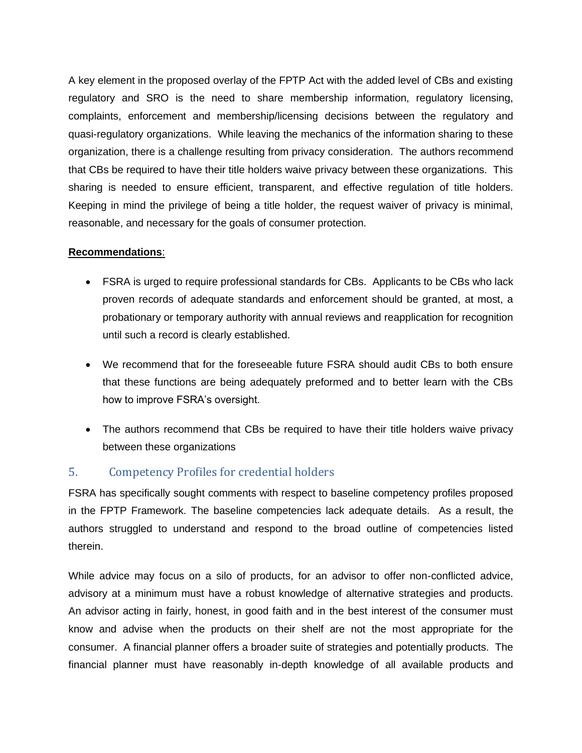A key element in the proposed overlay of the FPTP Act with the added level of CBs and existing regulatory and SRO is the need to share membership information, regulatory licensing, complaints, enforcement and membership/licensing decisions between the regulatory and quasi-regulatory organizations. While leaving the mechanics of the information sharing to these organization, there is a challenge resulting from privacy consideration. The authors recommend that CBs be required to have their title holders waive privacy between these organizations. This sharing is needed to ensure efficient, transparent, and effective regulation of title holders. Keeping in mind the privilege of being a title holder, the request waiver of privacy is minimal, reasonable, and necessary for the goals of consumer protection.

#### **Recommendations**:

- FSRA is urged to require professional standards for CBs. Applicants to be CBs who lack proven records of adequate standards and enforcement should be granted, at most, a probationary or temporary authority with annual reviews and reapplication for recognition until such a record is clearly established.
- We recommend that for the foreseeable future FSRA should audit CBs to both ensure that these functions are being adequately preformed and to better learn with the CBs how to improve FSRA's oversight.
- The authors recommend that CBs be required to have their title holders waive privacy between these organizations

### <span id="page-8-0"></span>5. Competency Profiles for credential holders

FSRA has specifically sought comments with respect to baseline competency profiles proposed in the FPTP Framework. The baseline competencies lack adequate details. As a result, the authors struggled to understand and respond to the broad outline of competencies listed therein.

While advice may focus on a silo of products, for an advisor to offer non-conflicted advice, advisory at a minimum must have a robust knowledge of alternative strategies and products. An advisor acting in fairly, honest, in good faith and in the best interest of the consumer must know and advise when the products on their shelf are not the most appropriate for the consumer. A financial planner offers a broader suite of strategies and potentially products. The financial planner must have reasonably in-depth knowledge of all available products and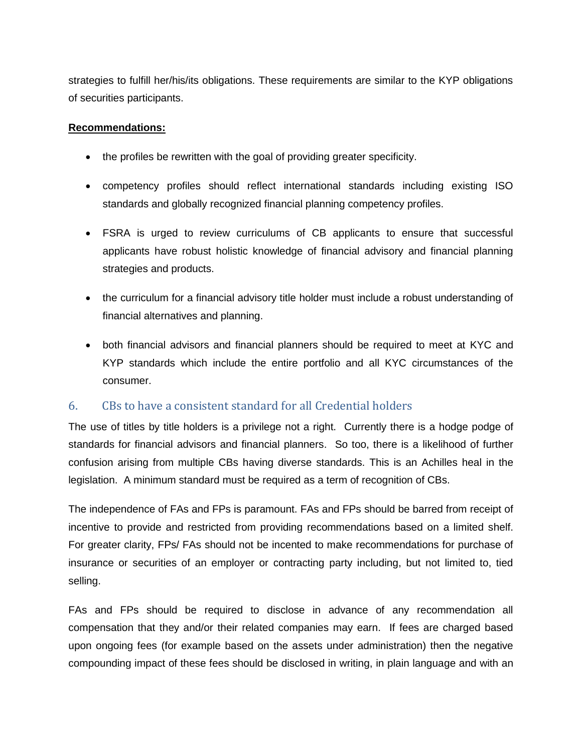strategies to fulfill her/his/its obligations. These requirements are similar to the KYP obligations of securities participants.

#### **Recommendations:**

- the profiles be rewritten with the goal of providing greater specificity.
- competency profiles should reflect international standards including existing ISO standards and globally recognized financial planning competency profiles.
- FSRA is urged to review curriculums of CB applicants to ensure that successful applicants have robust holistic knowledge of financial advisory and financial planning strategies and products.
- the curriculum for a financial advisory title holder must include a robust understanding of financial alternatives and planning.
- both financial advisors and financial planners should be required to meet at KYC and KYP standards which include the entire portfolio and all KYC circumstances of the consumer.

### <span id="page-9-0"></span>6. CBs to have a consistent standard for all Credential holders

The use of titles by title holders is a privilege not a right. Currently there is a hodge podge of standards for financial advisors and financial planners. So too, there is a likelihood of further confusion arising from multiple CBs having diverse standards. This is an Achilles heal in the legislation. A minimum standard must be required as a term of recognition of CBs.

The independence of FAs and FPs is paramount. FAs and FPs should be barred from receipt of incentive to provide and restricted from providing recommendations based on a limited shelf. For greater clarity, FPs/ FAs should not be incented to make recommendations for purchase of insurance or securities of an employer or contracting party including, but not limited to, tied selling.

FAs and FPs should be required to disclose in advance of any recommendation all compensation that they and/or their related companies may earn. If fees are charged based upon ongoing fees (for example based on the assets under administration) then the negative compounding impact of these fees should be disclosed in writing, in plain language and with an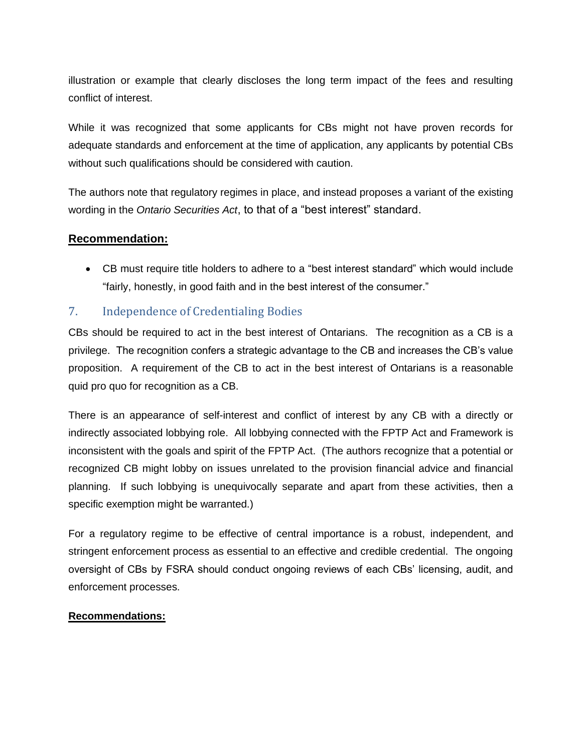illustration or example that clearly discloses the long term impact of the fees and resulting conflict of interest.

While it was recognized that some applicants for CBs might not have proven records for adequate standards and enforcement at the time of application, any applicants by potential CBs without such qualifications should be considered with caution.

The authors note that regulatory regimes in place, and instead proposes a variant of the existing wording in the *Ontario Securities Act*, to that of a "best interest" standard.

### **Recommendation:**

• CB must require title holders to adhere to a "best interest standard" which would include "fairly, honestly, in good faith and in the best interest of the consumer."

### <span id="page-10-0"></span>7. Independence of Credentialing Bodies

CBs should be required to act in the best interest of Ontarians. The recognition as a CB is a privilege. The recognition confers a strategic advantage to the CB and increases the CB's value proposition. A requirement of the CB to act in the best interest of Ontarians is a reasonable quid pro quo for recognition as a CB.

There is an appearance of self-interest and conflict of interest by any CB with a directly or indirectly associated lobbying role. All lobbying connected with the FPTP Act and Framework is inconsistent with the goals and spirit of the FPTP Act. (The authors recognize that a potential or recognized CB might lobby on issues unrelated to the provision financial advice and financial planning. If such lobbying is unequivocally separate and apart from these activities, then a specific exemption might be warranted.)

For a regulatory regime to be effective of central importance is a robust, independent, and stringent enforcement process as essential to an effective and credible credential. The ongoing oversight of CBs by FSRA should conduct ongoing reviews of each CBs' licensing, audit, and enforcement processes.

#### **Recommendations:**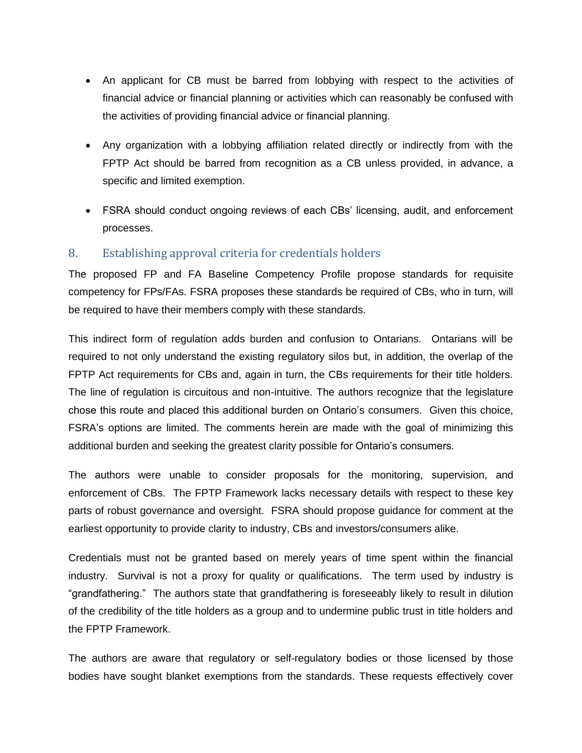- An applicant for CB must be barred from lobbying with respect to the activities of financial advice or financial planning or activities which can reasonably be confused with the activities of providing financial advice or financial planning.
- Any organization with a lobbying affiliation related directly or indirectly from with the FPTP Act should be barred from recognition as a CB unless provided, in advance, a specific and limited exemption.
- FSRA should conduct ongoing reviews of each CBs' licensing, audit, and enforcement processes.

### <span id="page-11-0"></span>8. Establishing approval criteria for credentials holders

The proposed FP and FA Baseline Competency Profile propose standards for requisite competency for FPs/FAs. FSRA proposes these standards be required of CBs, who in turn, will be required to have their members comply with these standards.

This indirect form of regulation adds burden and confusion to Ontarians. Ontarians will be required to not only understand the existing regulatory silos but, in addition, the overlap of the FPTP Act requirements for CBs and, again in turn, the CBs requirements for their title holders. The line of regulation is circuitous and non-intuitive. The authors recognize that the legislature chose this route and placed this additional burden on Ontario's consumers. Given this choice, FSRA's options are limited. The comments herein are made with the goal of minimizing this additional burden and seeking the greatest clarity possible for Ontario's consumers.

The authors were unable to consider proposals for the monitoring, supervision, and enforcement of CBs. The FPTP Framework lacks necessary details with respect to these key parts of robust governance and oversight. FSRA should propose guidance for comment at the earliest opportunity to provide clarity to industry, CBs and investors/consumers alike.

Credentials must not be granted based on merely years of time spent within the financial industry. Survival is not a proxy for quality or qualifications. The term used by industry is "grandfathering." The authors state that grandfathering is foreseeably likely to result in dilution of the credibility of the title holders as a group and to undermine public trust in title holders and the FPTP Framework.

The authors are aware that regulatory or self-regulatory bodies or those licensed by those bodies have sought blanket exemptions from the standards. These requests effectively cover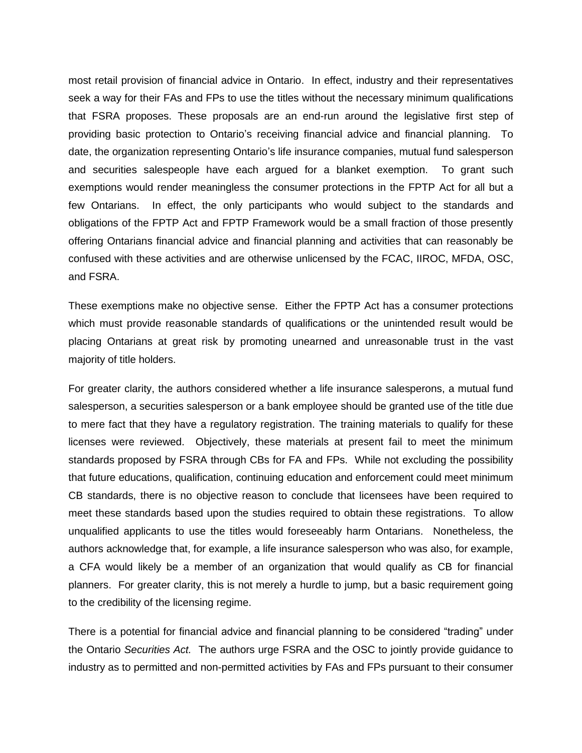most retail provision of financial advice in Ontario. In effect, industry and their representatives seek a way for their FAs and FPs to use the titles without the necessary minimum qualifications that FSRA proposes. These proposals are an end-run around the legislative first step of providing basic protection to Ontario's receiving financial advice and financial planning. To date, the organization representing Ontario's life insurance companies, mutual fund salesperson and securities salespeople have each argued for a blanket exemption. To grant such exemptions would render meaningless the consumer protections in the FPTP Act for all but a few Ontarians. In effect, the only participants who would subject to the standards and obligations of the FPTP Act and FPTP Framework would be a small fraction of those presently offering Ontarians financial advice and financial planning and activities that can reasonably be confused with these activities and are otherwise unlicensed by the FCAC, IIROC, MFDA, OSC, and FSRA.

These exemptions make no objective sense. Either the FPTP Act has a consumer protections which must provide reasonable standards of qualifications or the unintended result would be placing Ontarians at great risk by promoting unearned and unreasonable trust in the vast majority of title holders.

For greater clarity, the authors considered whether a life insurance salesperons, a mutual fund salesperson, a securities salesperson or a bank employee should be granted use of the title due to mere fact that they have a regulatory registration. The training materials to qualify for these licenses were reviewed. Objectively, these materials at present fail to meet the minimum standards proposed by FSRA through CBs for FA and FPs. While not excluding the possibility that future educations, qualification, continuing education and enforcement could meet minimum CB standards, there is no objective reason to conclude that licensees have been required to meet these standards based upon the studies required to obtain these registrations. To allow unqualified applicants to use the titles would foreseeably harm Ontarians. Nonetheless, the authors acknowledge that, for example, a life insurance salesperson who was also, for example, a CFA would likely be a member of an organization that would qualify as CB for financial planners. For greater clarity, this is not merely a hurdle to jump, but a basic requirement going to the credibility of the licensing regime.

There is a potential for financial advice and financial planning to be considered "trading" under the Ontario *Securities Act.* The authors urge FSRA and the OSC to jointly provide guidance to industry as to permitted and non-permitted activities by FAs and FPs pursuant to their consumer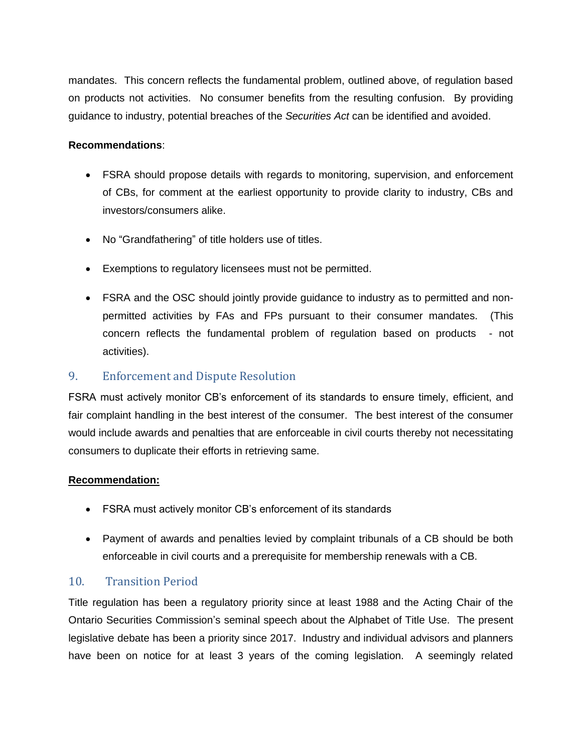mandates. This concern reflects the fundamental problem, outlined above, of regulation based on products not activities. No consumer benefits from the resulting confusion. By providing guidance to industry, potential breaches of the *Securities Act* can be identified and avoided.

#### **Recommendations**:

- FSRA should propose details with regards to monitoring, supervision, and enforcement of CBs, for comment at the earliest opportunity to provide clarity to industry, CBs and investors/consumers alike.
- No "Grandfathering" of title holders use of titles.
- Exemptions to regulatory licensees must not be permitted.
- FSRA and the OSC should jointly provide guidance to industry as to permitted and nonpermitted activities by FAs and FPs pursuant to their consumer mandates. (This concern reflects the fundamental problem of regulation based on products - not activities).

### <span id="page-13-0"></span>9. Enforcement and Dispute Resolution

FSRA must actively monitor CB's enforcement of its standards to ensure timely, efficient, and fair complaint handling in the best interest of the consumer. The best interest of the consumer would include awards and penalties that are enforceable in civil courts thereby not necessitating consumers to duplicate their efforts in retrieving same.

#### **Recommendation:**

- FSRA must actively monitor CB's enforcement of its standards
- Payment of awards and penalties levied by complaint tribunals of a CB should be both enforceable in civil courts and a prerequisite for membership renewals with a CB.

### <span id="page-13-1"></span>10. Transition Period

Title regulation has been a regulatory priority since at least 1988 and the Acting Chair of the Ontario Securities Commission's seminal speech about the Alphabet of Title Use. The present legislative debate has been a priority since 2017. Industry and individual advisors and planners have been on notice for at least 3 years of the coming legislation. A seemingly related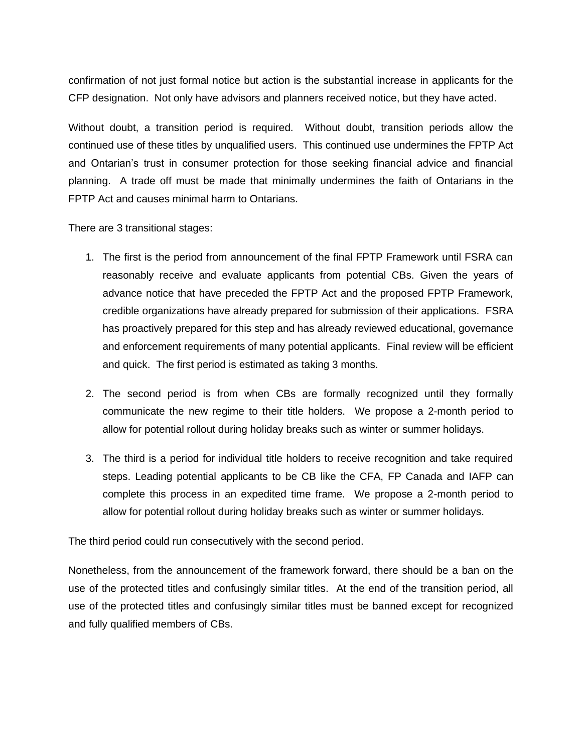confirmation of not just formal notice but action is the substantial increase in applicants for the CFP designation. Not only have advisors and planners received notice, but they have acted.

Without doubt, a transition period is required. Without doubt, transition periods allow the continued use of these titles by unqualified users. This continued use undermines the FPTP Act and Ontarian's trust in consumer protection for those seeking financial advice and financial planning. A trade off must be made that minimally undermines the faith of Ontarians in the FPTP Act and causes minimal harm to Ontarians.

There are 3 transitional stages:

- 1. The first is the period from announcement of the final FPTP Framework until FSRA can reasonably receive and evaluate applicants from potential CBs. Given the years of advance notice that have preceded the FPTP Act and the proposed FPTP Framework, credible organizations have already prepared for submission of their applications. FSRA has proactively prepared for this step and has already reviewed educational, governance and enforcement requirements of many potential applicants. Final review will be efficient and quick. The first period is estimated as taking 3 months.
- 2. The second period is from when CBs are formally recognized until they formally communicate the new regime to their title holders. We propose a 2-month period to allow for potential rollout during holiday breaks such as winter or summer holidays.
- 3. The third is a period for individual title holders to receive recognition and take required steps. Leading potential applicants to be CB like the CFA, FP Canada and IAFP can complete this process in an expedited time frame. We propose a 2-month period to allow for potential rollout during holiday breaks such as winter or summer holidays.

The third period could run consecutively with the second period.

Nonetheless, from the announcement of the framework forward, there should be a ban on the use of the protected titles and confusingly similar titles. At the end of the transition period, all use of the protected titles and confusingly similar titles must be banned except for recognized and fully qualified members of CBs.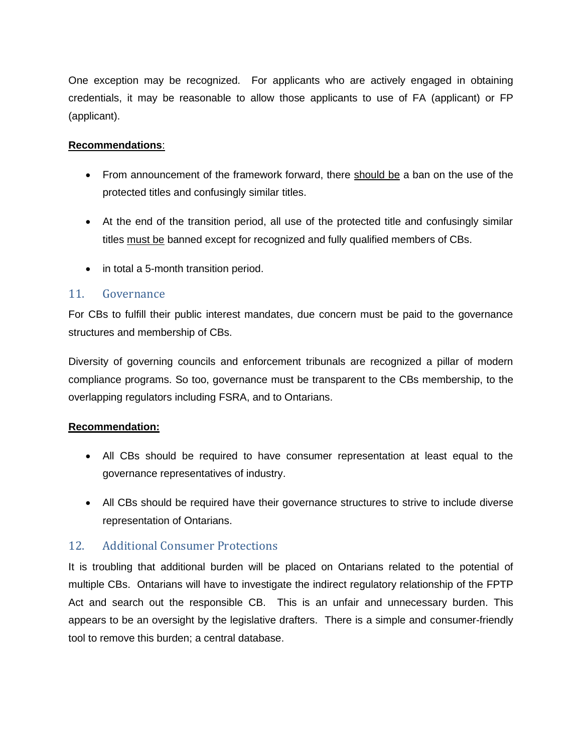One exception may be recognized. For applicants who are actively engaged in obtaining credentials, it may be reasonable to allow those applicants to use of FA (applicant) or FP (applicant).

### **Recommendations**:

- From announcement of the framework forward, there should be a ban on the use of the protected titles and confusingly similar titles.
- At the end of the transition period, all use of the protected title and confusingly similar titles must be banned except for recognized and fully qualified members of CBs.
- in total a 5-month transition period.

### <span id="page-15-0"></span>11. Governance

For CBs to fulfill their public interest mandates, due concern must be paid to the governance structures and membership of CBs.

Diversity of governing councils and enforcement tribunals are recognized a pillar of modern compliance programs. So too, governance must be transparent to the CBs membership, to the overlapping regulators including FSRA, and to Ontarians.

### **Recommendation:**

- All CBs should be required to have consumer representation at least equal to the governance representatives of industry.
- All CBs should be required have their governance structures to strive to include diverse representation of Ontarians.

### <span id="page-15-1"></span>12. Additional Consumer Protections

It is troubling that additional burden will be placed on Ontarians related to the potential of multiple CBs. Ontarians will have to investigate the indirect regulatory relationship of the FPTP Act and search out the responsible CB. This is an unfair and unnecessary burden. This appears to be an oversight by the legislative drafters. There is a simple and consumer-friendly tool to remove this burden; a central database.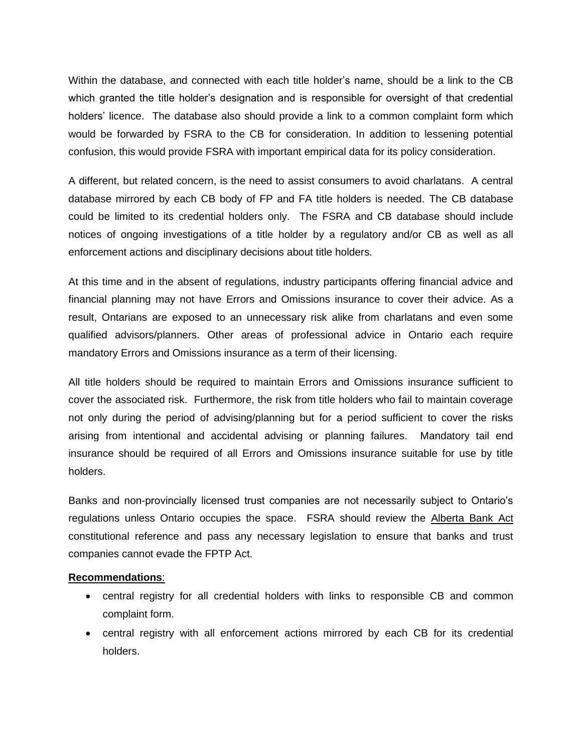Within the database, and connected with each title holder's name, should be a link to the CB which granted the title holder's designation and is responsible for oversight of that credential holders' licence. The database also should provide a link to a common complaint form which would be forwarded by FSRA to the CB for consideration. In addition to lessening potential confusion, this would provide FSRA with important empirical data for its policy consideration.

A different, but related concern, is the need to assist consumers to avoid charlatans. A central database mirrored by each CB body of FP and FA title holders is needed. The CB database could be limited to its credential holders only. The FSRA and CB database should include notices of ongoing investigations of a title holder by a regulatory and/or CB as well as all enforcement actions and disciplinary decisions about title holders.

At this time and in the absent of regulations, industry participants offering financial advice and financial planning may not have Errors and Omissions insurance to cover their advice. As a result, Ontarians are exposed to an unnecessary risk alike from charlatans and even some qualified advisors/planners. Other areas of professional advice in Ontario each require mandatory Errors and Omissions insurance as a term of their licensing.

All title holders should be required to maintain Errors and Omissions insurance sufficient to cover the associated risk. Furthermore, the risk from title holders who fail to maintain coverage not only during the period of advising/planning but for a period sufficient to cover the risks arising from intentional and accidental advising or planning failures. Mandatory tail end insurance should be required of all Errors and Omissions insurance suitable for use by title holders.

Banks and non-provincially licensed trust companies are not necessarily subject to Ontario's regulations unless Ontario occupies the space. FSRA should review the Alberta Bank Act constitutional reference and pass any necessary legislation to ensure that banks and trust companies cannot evade the FPTP Act.

#### **Recommendations**:

- central registry for all credential holders with links to responsible CB and common complaint form.
- central registry with all enforcement actions mirrored by each CB for its credential holders.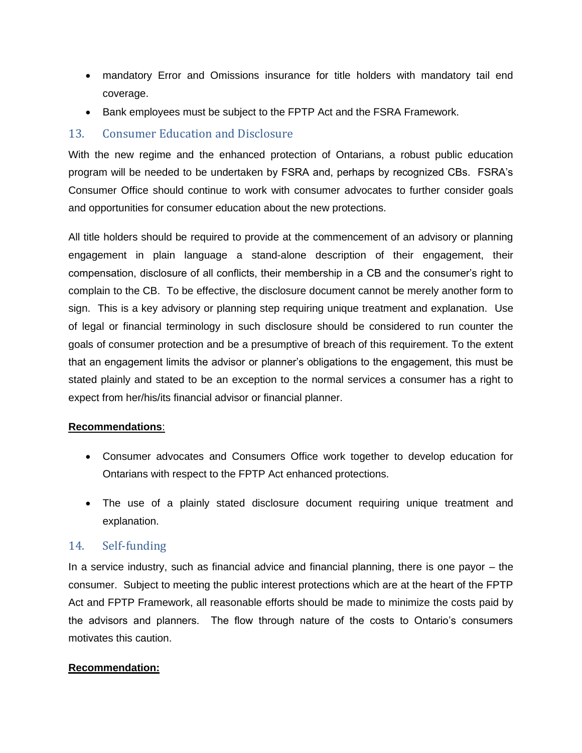- mandatory Error and Omissions insurance for title holders with mandatory tail end coverage.
- Bank employees must be subject to the FPTP Act and the FSRA Framework.

### <span id="page-17-0"></span>13. Consumer Education and Disclosure

With the new regime and the enhanced protection of Ontarians, a robust public education program will be needed to be undertaken by FSRA and, perhaps by recognized CBs. FSRA's Consumer Office should continue to work with consumer advocates to further consider goals and opportunities for consumer education about the new protections.

All title holders should be required to provide at the commencement of an advisory or planning engagement in plain language a stand-alone description of their engagement, their compensation, disclosure of all conflicts, their membership in a CB and the consumer's right to complain to the CB. To be effective, the disclosure document cannot be merely another form to sign. This is a key advisory or planning step requiring unique treatment and explanation. Use of legal or financial terminology in such disclosure should be considered to run counter the goals of consumer protection and be a presumptive of breach of this requirement. To the extent that an engagement limits the advisor or planner's obligations to the engagement, this must be stated plainly and stated to be an exception to the normal services a consumer has a right to expect from her/his/its financial advisor or financial planner.

#### **Recommendations**:

- Consumer advocates and Consumers Office work together to develop education for Ontarians with respect to the FPTP Act enhanced protections.
- The use of a plainly stated disclosure document requiring unique treatment and explanation.

### <span id="page-17-1"></span>14. Self-funding

In a service industry, such as financial advice and financial planning, there is one payor – the consumer. Subject to meeting the public interest protections which are at the heart of the FPTP Act and FPTP Framework, all reasonable efforts should be made to minimize the costs paid by the advisors and planners. The flow through nature of the costs to Ontario's consumers motivates this caution.

#### **Recommendation:**